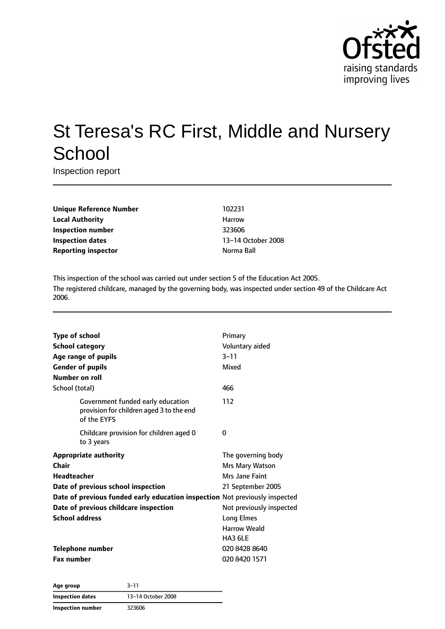

# St Teresa's RC First, Middle and Nursery **School**

Inspection report

**Unique Reference Number** 102231 **Local Authority Harrow** Harrow **Inspection number** 323606 **Inspection dates** 13–14 October 2008 **Reporting inspector and a structure of the Second Second Properties A** Norma Ball

This inspection of the school was carried out under section 5 of the Education Act 2005. The registered childcare, managed by the governing body, was inspected under section 49 of the Childcare Act 2006.

| <b>Type of school</b>                                                                        | Primary                  |  |
|----------------------------------------------------------------------------------------------|--------------------------|--|
| <b>School category</b>                                                                       | Voluntary aided          |  |
| Age range of pupils                                                                          | $3 - 11$                 |  |
| <b>Gender of pupils</b>                                                                      | Mixed                    |  |
| Number on roll                                                                               |                          |  |
| School (total)                                                                               | 466                      |  |
| Government funded early education<br>provision for children aged 3 to the end<br>of the EYFS | 112                      |  |
| Childcare provision for children aged 0<br>to 3 years                                        | 0                        |  |
| <b>Appropriate authority</b>                                                                 | The governing body       |  |
| Chair                                                                                        | Mrs Mary Watson          |  |
| <b>Headteacher</b>                                                                           | Mrs Jane Faint           |  |
| Date of previous school inspection                                                           | 21 September 2005        |  |
| Date of previous funded early education inspection Not previously inspected                  |                          |  |
| Date of previous childcare inspection                                                        | Not previously inspected |  |
| <b>School address</b>                                                                        | <b>Long Elmes</b>        |  |
|                                                                                              | <b>Harrow Weald</b>      |  |
|                                                                                              | HA3 6LE                  |  |
| Telephone number                                                                             | 020 8428 8640            |  |
| <b>Fax number</b>                                                                            | 020 8420 1571            |  |

**Age group** 3–11 **Inspection dates** 13–14 October 2008 **Inspection number** 323606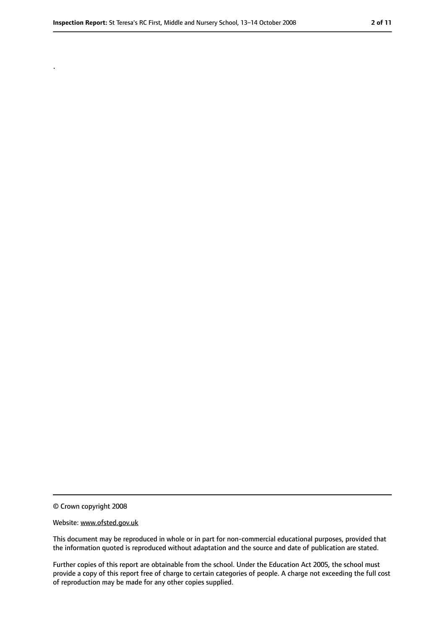.

<sup>©</sup> Crown copyright 2008

Website: www.ofsted.gov.uk

This document may be reproduced in whole or in part for non-commercial educational purposes, provided that the information quoted is reproduced without adaptation and the source and date of publication are stated.

Further copies of this report are obtainable from the school. Under the Education Act 2005, the school must provide a copy of this report free of charge to certain categories of people. A charge not exceeding the full cost of reproduction may be made for any other copies supplied.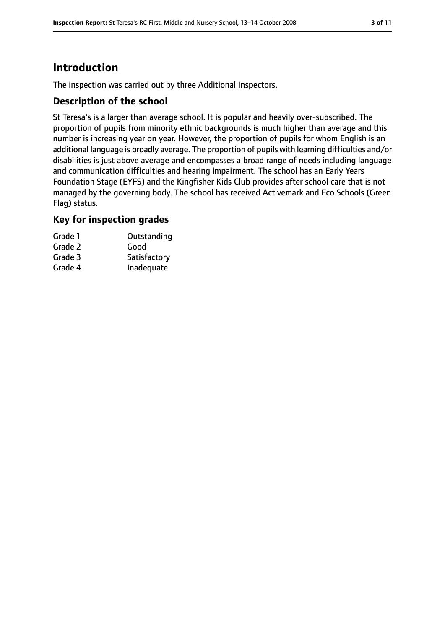# **Introduction**

The inspection was carried out by three Additional Inspectors.

#### **Description of the school**

St Teresa's is a larger than average school. It is popular and heavily over-subscribed. The proportion of pupils from minority ethnic backgrounds is much higher than average and this number is increasing year on year. However, the proportion of pupils for whom English is an additional language is broadly average. The proportion of pupils with learning difficulties and/or disabilities is just above average and encompasses a broad range of needs including language and communication difficulties and hearing impairment. The school has an Early Years Foundation Stage (EYFS) and the Kingfisher Kids Club provides after school care that is not managed by the governing body. The school has received Activemark and Eco Schools (Green Flag) status.

#### **Key for inspection grades**

| Grade 1 | Outstanding  |
|---------|--------------|
| Grade 2 | Good         |
| Grade 3 | Satisfactory |
| Grade 4 | Inadequate   |
|         |              |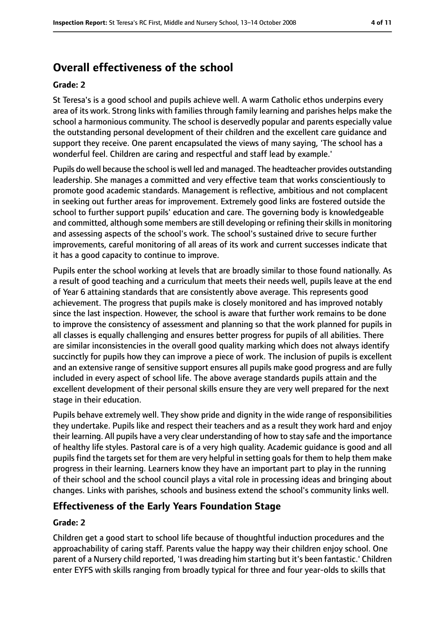# **Overall effectiveness of the school**

#### **Grade: 2**

St Teresa's is a good school and pupils achieve well. A warm Catholic ethos underpins every area of its work. Strong links with families through family learning and parishes helps make the school a harmonious community. The school is deservedly popular and parents especially value the outstanding personal development of their children and the excellent care guidance and support they receive. One parent encapsulated the views of many saying, 'The school has a wonderful feel. Children are caring and respectful and staff lead by example.'

Pupils do well because the school is well led and managed. The headteacher provides outstanding leadership. She manages a committed and very effective team that works conscientiously to promote good academic standards. Management is reflective, ambitious and not complacent in seeking out further areas for improvement. Extremely good links are fostered outside the school to further support pupils' education and care. The governing body is knowledgeable and committed, although some members are still developing or refining their skills in monitoring and assessing aspects of the school's work. The school's sustained drive to secure further improvements, careful monitoring of all areas of its work and current successes indicate that it has a good capacity to continue to improve.

Pupils enter the school working at levels that are broadly similar to those found nationally. As a result of good teaching and a curriculum that meets their needs well, pupils leave at the end of Year 6 attaining standards that are consistently above average. This represents good achievement. The progress that pupils make is closely monitored and has improved notably since the last inspection. However, the school is aware that further work remains to be done to improve the consistency of assessment and planning so that the work planned for pupils in all classes is equally challenging and ensures better progress for pupils of all abilities. There are similar inconsistencies in the overall good quality marking which does not always identify succinctly for pupils how they can improve a piece of work. The inclusion of pupils is excellent and an extensive range of sensitive support ensures all pupils make good progress and are fully included in every aspect of school life. The above average standards pupils attain and the excellent development of their personal skills ensure they are very well prepared for the next stage in their education.

Pupils behave extremely well. They show pride and dignity in the wide range of responsibilities they undertake. Pupils like and respect their teachers and as a result they work hard and enjoy their learning. All pupils have a very clear understanding of how to stay safe and the importance of healthy life styles. Pastoral care is of a very high quality. Academic guidance is good and all pupils find the targets set for them are very helpful in setting goals for them to help them make progress in their learning. Learners know they have an important part to play in the running of their school and the school council plays a vital role in processing ideas and bringing about changes. Links with parishes, schools and business extend the school's community links well.

#### **Effectiveness of the Early Years Foundation Stage**

#### **Grade: 2**

Children get a good start to school life because of thoughtful induction procedures and the approachability of caring staff. Parents value the happy way their children enjoy school. One parent of a Nursery child reported, 'I was dreading him starting but it's been fantastic.' Children enter EYFS with skills ranging from broadly typical for three and four year-olds to skills that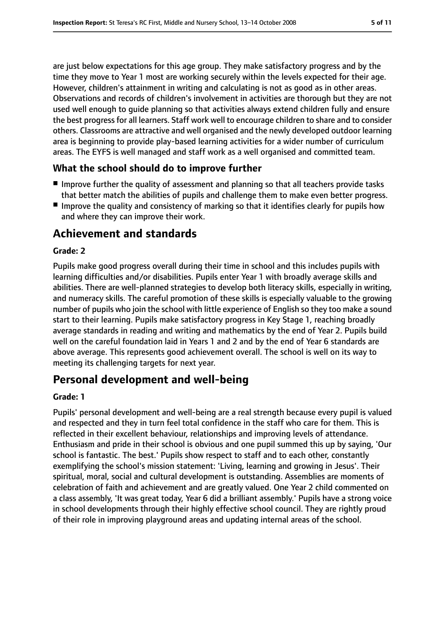are just below expectations for this age group. They make satisfactory progress and by the time they move to Year 1 most are working securely within the levels expected for their age. However, children's attainment in writing and calculating is not as good as in other areas. Observations and records of children's involvement in activities are thorough but they are not used well enough to guide planning so that activities always extend children fully and ensure the best progress for all learners. Staff work well to encourage children to share and to consider others. Classrooms are attractive and well organised and the newly developed outdoor learning area is beginning to provide play-based learning activities for a wider number of curriculum areas. The EYFS is well managed and staff work as a well organised and committed team.

#### **What the school should do to improve further**

- Improve further the quality of assessment and planning so that all teachers provide tasks that better match the abilities of pupils and challenge them to make even better progress.
- Improve the quality and consistency of marking so that it identifies clearly for pupils how and where they can improve their work.

# **Achievement and standards**

#### **Grade: 2**

Pupils make good progress overall during their time in school and this includes pupils with learning difficulties and/or disabilities. Pupils enter Year 1 with broadly average skills and abilities. There are well-planned strategies to develop both literacy skills, especially in writing, and numeracy skills. The careful promotion of these skills is especially valuable to the growing number of pupils who join the school with little experience of English so they too make a sound start to their learning. Pupils make satisfactory progress in Key Stage 1, reaching broadly average standards in reading and writing and mathematics by the end of Year 2. Pupils build well on the careful foundation laid in Years 1 and 2 and by the end of Year 6 standards are above average. This represents good achievement overall. The school is well on its way to meeting its challenging targets for next year.

# **Personal development and well-being**

#### **Grade: 1**

Pupils' personal development and well-being are a real strength because every pupil is valued and respected and they in turn feel total confidence in the staff who care for them. This is reflected in their excellent behaviour, relationships and improving levels of attendance. Enthusiasm and pride in their school is obvious and one pupil summed this up by saying, 'Our school is fantastic. The best.' Pupils show respect to staff and to each other, constantly exemplifying the school's mission statement: 'Living, learning and growing in Jesus'. Their spiritual, moral, social and cultural development is outstanding. Assemblies are moments of celebration of faith and achievement and are greatly valued. One Year 2 child commented on a class assembly, 'It was great today, Year 6 did a brilliant assembly.' Pupils have a strong voice in school developments through their highly effective school council. They are rightly proud of their role in improving playground areas and updating internal areas of the school.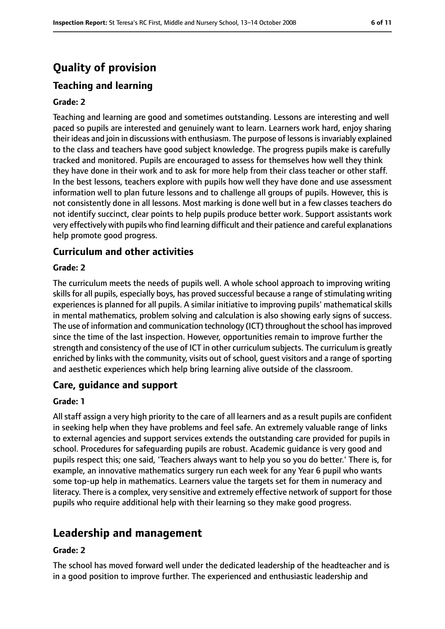# **Quality of provision**

# **Teaching and learning**

### **Grade: 2**

Teaching and learning are good and sometimes outstanding. Lessons are interesting and well paced so pupils are interested and genuinely want to learn. Learners work hard, enjoy sharing their ideas and join in discussions with enthusiasm. The purpose of lessons is invariably explained to the class and teachers have good subject knowledge. The progress pupils make is carefully tracked and monitored. Pupils are encouraged to assess for themselves how well they think they have done in their work and to ask for more help from their class teacher or other staff. In the best lessons, teachers explore with pupils how well they have done and use assessment information well to plan future lessons and to challenge all groups of pupils. However, this is not consistently done in all lessons. Most marking is done well but in a few classes teachers do not identify succinct, clear points to help pupils produce better work. Support assistants work very effectively with pupils who find learning difficult and their patience and careful explanations help promote good progress.

#### **Curriculum and other activities**

#### **Grade: 2**

The curriculum meets the needs of pupils well. A whole school approach to improving writing skills for all pupils, especially boys, has proved successful because a range of stimulating writing experiences is planned for all pupils. A similar initiative to improving pupils' mathematical skills in mental mathematics, problem solving and calculation is also showing early signs of success. The use of information and communication technology (ICT) throughout the school hasimproved since the time of the last inspection. However, opportunities remain to improve further the strength and consistency of the use of ICT in other curriculum subjects. The curriculum is greatly enriched by links with the community, visits out of school, guest visitors and a range of sporting and aesthetic experiences which help bring learning alive outside of the classroom.

#### **Care, guidance and support**

#### **Grade: 1**

All staff assign a very high priority to the care of all learners and as a result pupils are confident in seeking help when they have problems and feel safe. An extremely valuable range of links to external agencies and support services extends the outstanding care provided for pupils in school. Procedures for safeguarding pupils are robust. Academic guidance is very good and pupils respect this; one said, 'Teachers always want to help you so you do better.' There is, for example, an innovative mathematics surgery run each week for any Year 6 pupil who wants some top-up help in mathematics. Learners value the targets set for them in numeracy and literacy. There is a complex, very sensitive and extremely effective network of support for those pupils who require additional help with their learning so they make good progress.

# **Leadership and management**

#### **Grade: 2**

The school has moved forward well under the dedicated leadership of the headteacher and is in a good position to improve further. The experienced and enthusiastic leadership and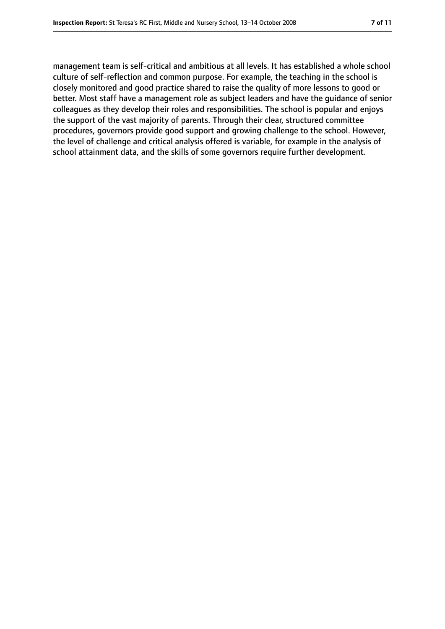management team is self-critical and ambitious at all levels. It has established a whole school culture of self-reflection and common purpose. For example, the teaching in the school is closely monitored and good practice shared to raise the quality of more lessons to good or better. Most staff have a management role as subject leaders and have the guidance of senior colleagues as they develop their roles and responsibilities. The school is popular and enjoys the support of the vast majority of parents. Through their clear, structured committee procedures, governors provide good support and growing challenge to the school. However, the level of challenge and critical analysis offered is variable, for example in the analysis of school attainment data, and the skills of some governors require further development.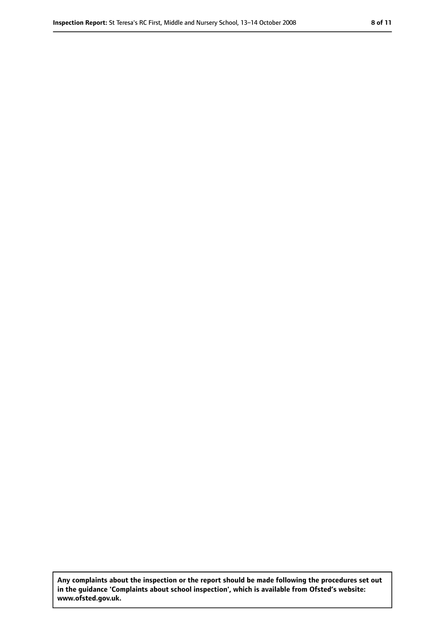**Any complaints about the inspection or the report should be made following the procedures set out in the guidance 'Complaints about school inspection', which is available from Ofsted's website: www.ofsted.gov.uk.**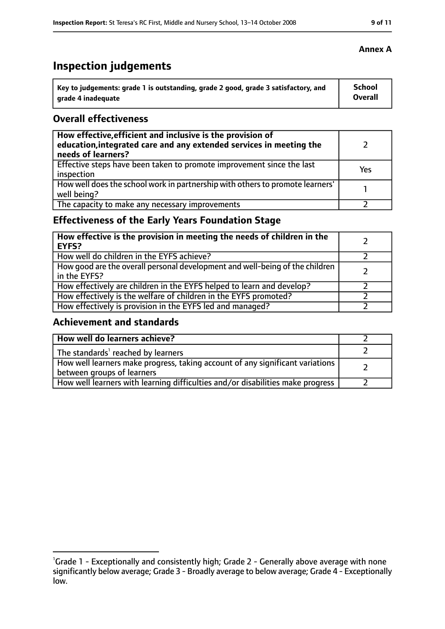# **Inspection judgements**

| \ Key to judgements: grade 1 is outstanding, grade 2 good, grade 3 satisfactory, and | <b>School</b>  |
|--------------------------------------------------------------------------------------|----------------|
| arade 4 inadequate                                                                   | <b>Overall</b> |

#### **Overall effectiveness**

| How effective, efficient and inclusive is the provision of<br>education, integrated care and any extended services in meeting the<br>needs of learners? |     |
|---------------------------------------------------------------------------------------------------------------------------------------------------------|-----|
| Effective steps have been taken to promote improvement since the last<br>inspection                                                                     | Yes |
| How well does the school work in partnership with others to promote learners'<br>well being?                                                            |     |
| The capacity to make any necessary improvements                                                                                                         |     |

# **Effectiveness of the Early Years Foundation Stage**

| How effective is the provision in meeting the needs of children in the<br>l EYFS?            |  |
|----------------------------------------------------------------------------------------------|--|
| How well do children in the EYFS achieve?                                                    |  |
| How good are the overall personal development and well-being of the children<br>in the EYFS? |  |
| How effectively are children in the EYFS helped to learn and develop?                        |  |
| How effectively is the welfare of children in the EYFS promoted?                             |  |
| How effectively is provision in the EYFS led and managed?                                    |  |

#### **Achievement and standards**

| How well do learners achieve?                                                                               |  |
|-------------------------------------------------------------------------------------------------------------|--|
| The standards <sup>1</sup> reached by learners                                                              |  |
| How well learners make progress, taking account of any significant variations<br>between groups of learners |  |
| How well learners with learning difficulties and/or disabilities make progress                              |  |

#### **Annex A**

<sup>&</sup>lt;sup>1</sup>Grade 1 - Exceptionally and consistently high; Grade 2 - Generally above average with none significantly below average; Grade 3 - Broadly average to below average; Grade 4 - Exceptionally low.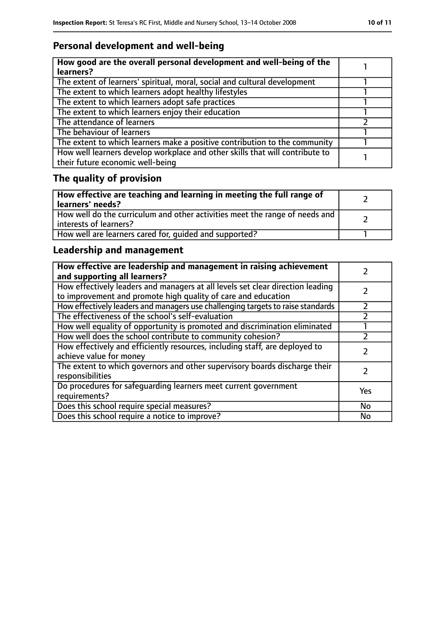# **Personal development and well-being**

| How good are the overall personal development and well-being of the<br>learners?                                 |  |
|------------------------------------------------------------------------------------------------------------------|--|
| The extent of learners' spiritual, moral, social and cultural development                                        |  |
| The extent to which learners adopt healthy lifestyles                                                            |  |
| The extent to which learners adopt safe practices                                                                |  |
| The extent to which learners enjoy their education                                                               |  |
| The attendance of learners                                                                                       |  |
| The behaviour of learners                                                                                        |  |
| The extent to which learners make a positive contribution to the community                                       |  |
| How well learners develop workplace and other skills that will contribute to<br>their future economic well-being |  |

# **The quality of provision**

| How effective are teaching and learning in meeting the full range of<br>learners' needs?              |  |
|-------------------------------------------------------------------------------------------------------|--|
| How well do the curriculum and other activities meet the range of needs and<br>interests of learners? |  |
| How well are learners cared for, quided and supported?                                                |  |

# **Leadership and management**

| How effective are leadership and management in raising achievement<br>and supporting all learners?                                              |     |
|-------------------------------------------------------------------------------------------------------------------------------------------------|-----|
| How effectively leaders and managers at all levels set clear direction leading<br>to improvement and promote high quality of care and education |     |
| How effectively leaders and managers use challenging targets to raise standards                                                                 |     |
| The effectiveness of the school's self-evaluation                                                                                               |     |
| How well equality of opportunity is promoted and discrimination eliminated                                                                      |     |
| How well does the school contribute to community cohesion?                                                                                      |     |
| How effectively and efficiently resources, including staff, are deployed to<br>achieve value for money                                          |     |
| The extent to which governors and other supervisory boards discharge their<br>responsibilities                                                  |     |
| Do procedures for safequarding learners meet current government<br>requirements?                                                                | Yes |
| Does this school require special measures?                                                                                                      | No  |
| Does this school require a notice to improve?                                                                                                   | No  |